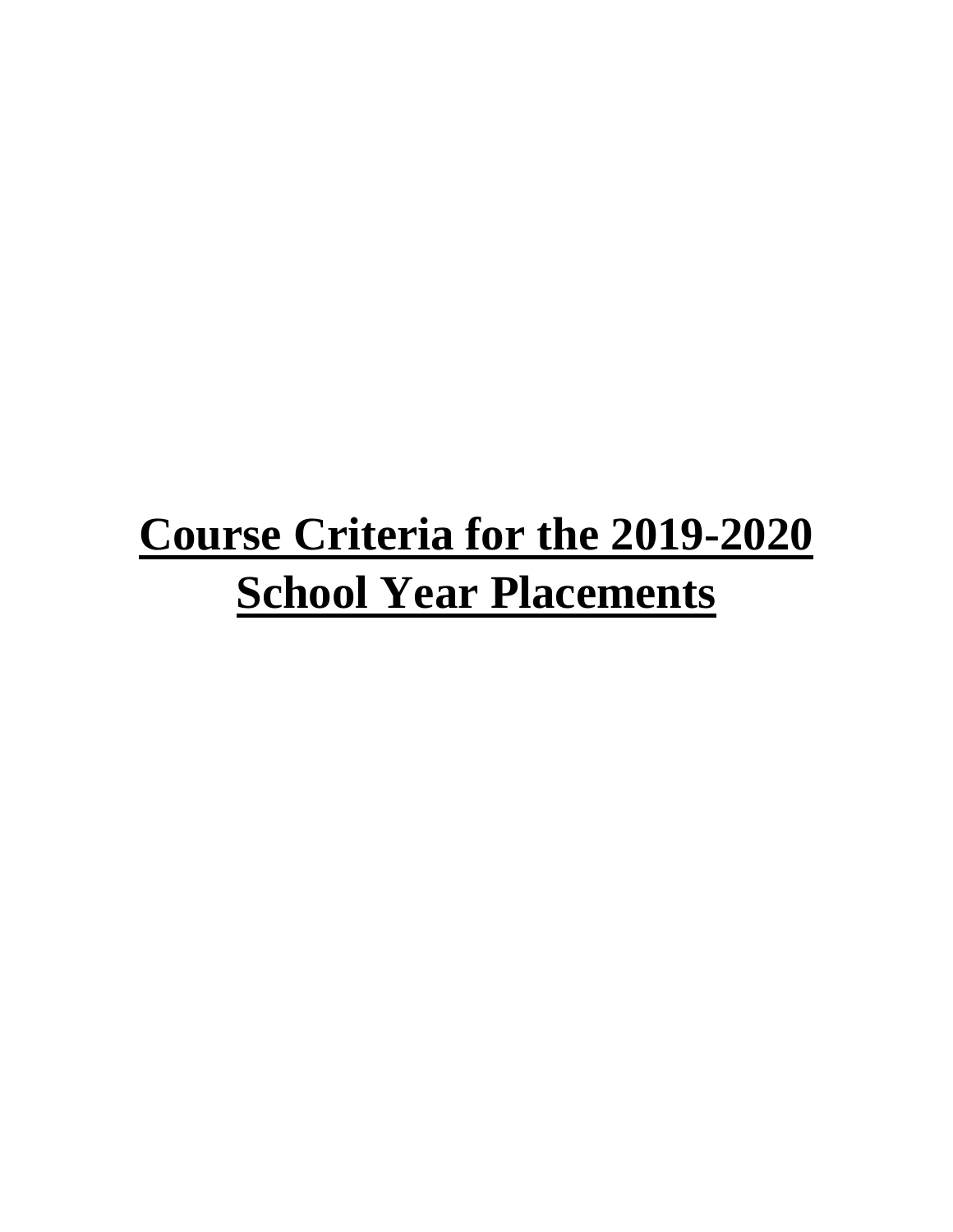# **Course Criteria for the 2019-2020 School Year Placements**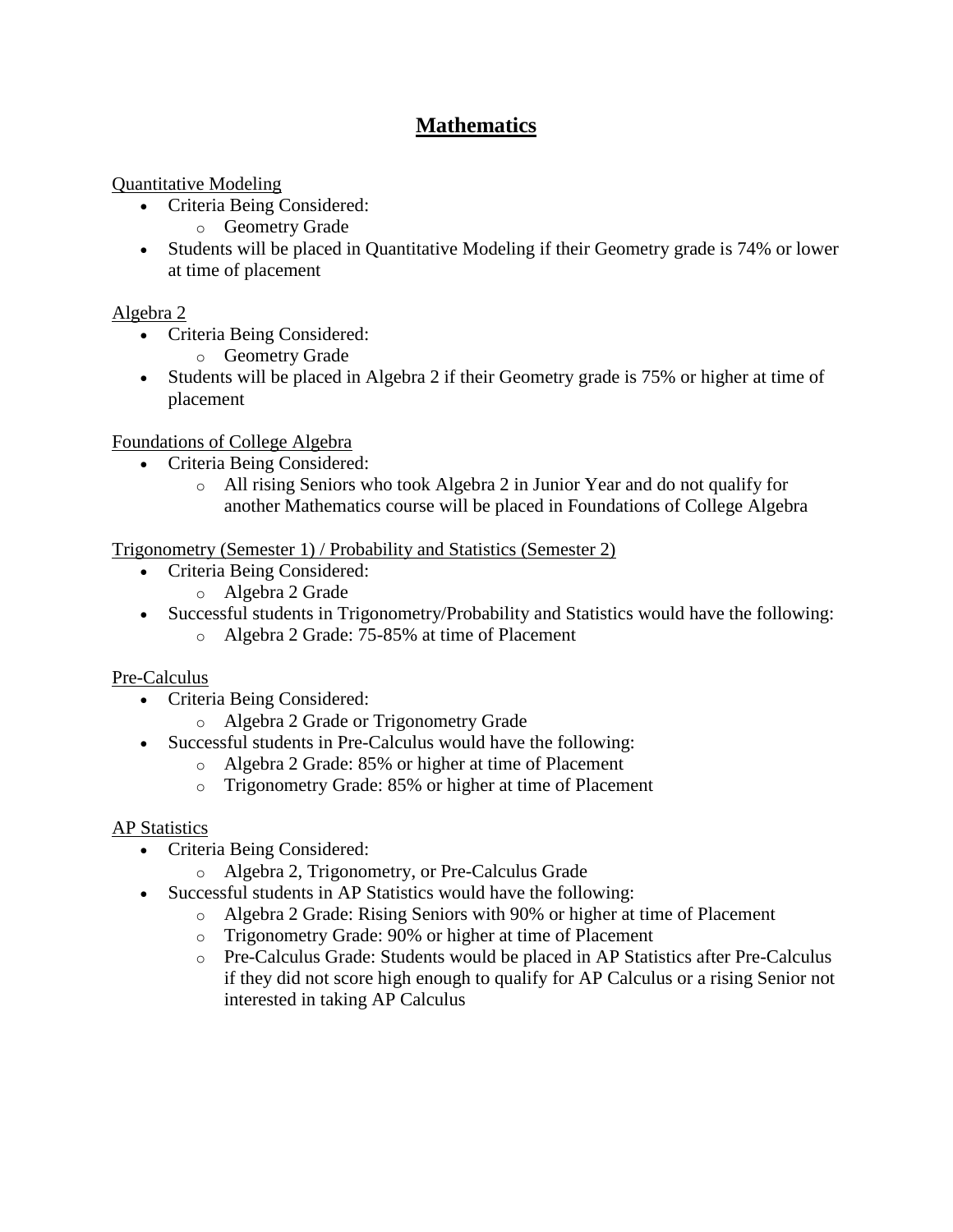# **Mathematics**

## Quantitative Modeling

- Criteria Being Considered:
	- o Geometry Grade
- Students will be placed in Quantitative Modeling if their Geometry grade is 74% or lower at time of placement

## Algebra 2

- Criteria Being Considered:
	- o Geometry Grade
- Students will be placed in Algebra 2 if their Geometry grade is 75% or higher at time of placement

## Foundations of College Algebra

- Criteria Being Considered:
	- o All rising Seniors who took Algebra 2 in Junior Year and do not qualify for another Mathematics course will be placed in Foundations of College Algebra

## Trigonometry (Semester 1) / Probability and Statistics (Semester 2)

- Criteria Being Considered:
	- o Algebra 2 Grade
- Successful students in Trigonometry/Probability and Statistics would have the following:
	- o Algebra 2 Grade: 75-85% at time of Placement

## Pre-Calculus

- Criteria Being Considered:
	- o Algebra 2 Grade or Trigonometry Grade
- Successful students in Pre-Calculus would have the following:
	- o Algebra 2 Grade: 85% or higher at time of Placement
	- o Trigonometry Grade: 85% or higher at time of Placement

# AP Statistics

- Criteria Being Considered:
	- o Algebra 2, Trigonometry, or Pre-Calculus Grade
- Successful students in AP Statistics would have the following:
	- o Algebra 2 Grade: Rising Seniors with 90% or higher at time of Placement
	- o Trigonometry Grade: 90% or higher at time of Placement
	- o Pre-Calculus Grade: Students would be placed in AP Statistics after Pre-Calculus if they did not score high enough to qualify for AP Calculus or a rising Senior not interested in taking AP Calculus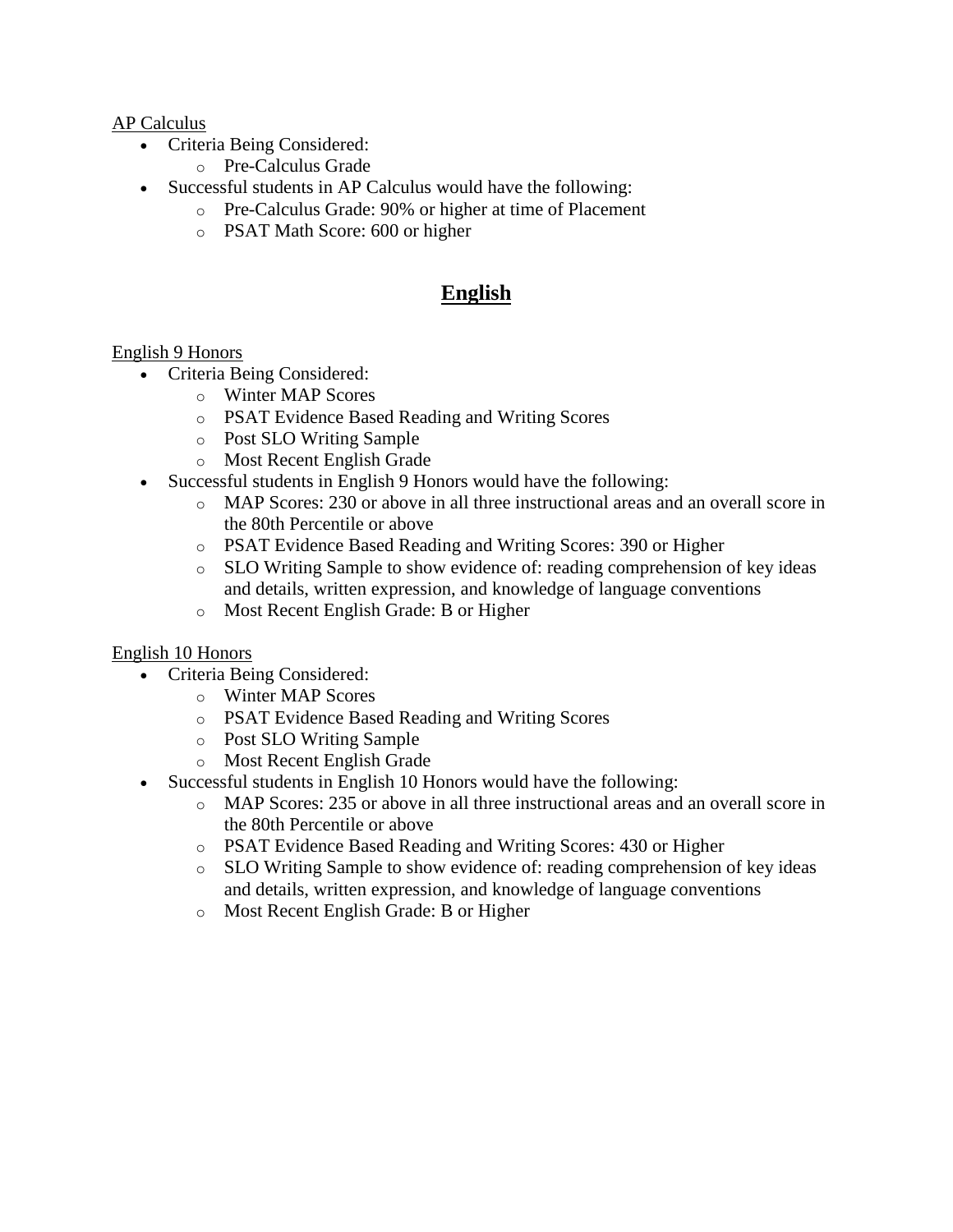#### AP Calculus

- Criteria Being Considered:
	- o Pre-Calculus Grade
- Successful students in AP Calculus would have the following:
	- o Pre-Calculus Grade: 90% or higher at time of Placement
	- o PSAT Math Score: 600 or higher

# **English**

#### English 9 Honors

- Criteria Being Considered:
	- o Winter MAP Scores
	- o PSAT Evidence Based Reading and Writing Scores
	- o Post SLO Writing Sample
	- o Most Recent English Grade
- Successful students in English 9 Honors would have the following:
	- o MAP Scores: 230 or above in all three instructional areas and an overall score in the 80th Percentile or above
	- o PSAT Evidence Based Reading and Writing Scores: 390 or Higher
	- o SLO Writing Sample to show evidence of: reading comprehension of key ideas and details, written expression, and knowledge of language conventions
	- o Most Recent English Grade: B or Higher

#### English 10 Honors

- Criteria Being Considered:
	- o Winter MAP Scores
	- o PSAT Evidence Based Reading and Writing Scores
	- o Post SLO Writing Sample
	- o Most Recent English Grade
- Successful students in English 10 Honors would have the following:
	- o MAP Scores: 235 or above in all three instructional areas and an overall score in the 80th Percentile or above
	- o PSAT Evidence Based Reading and Writing Scores: 430 or Higher
	- o SLO Writing Sample to show evidence of: reading comprehension of key ideas and details, written expression, and knowledge of language conventions
	- o Most Recent English Grade: B or Higher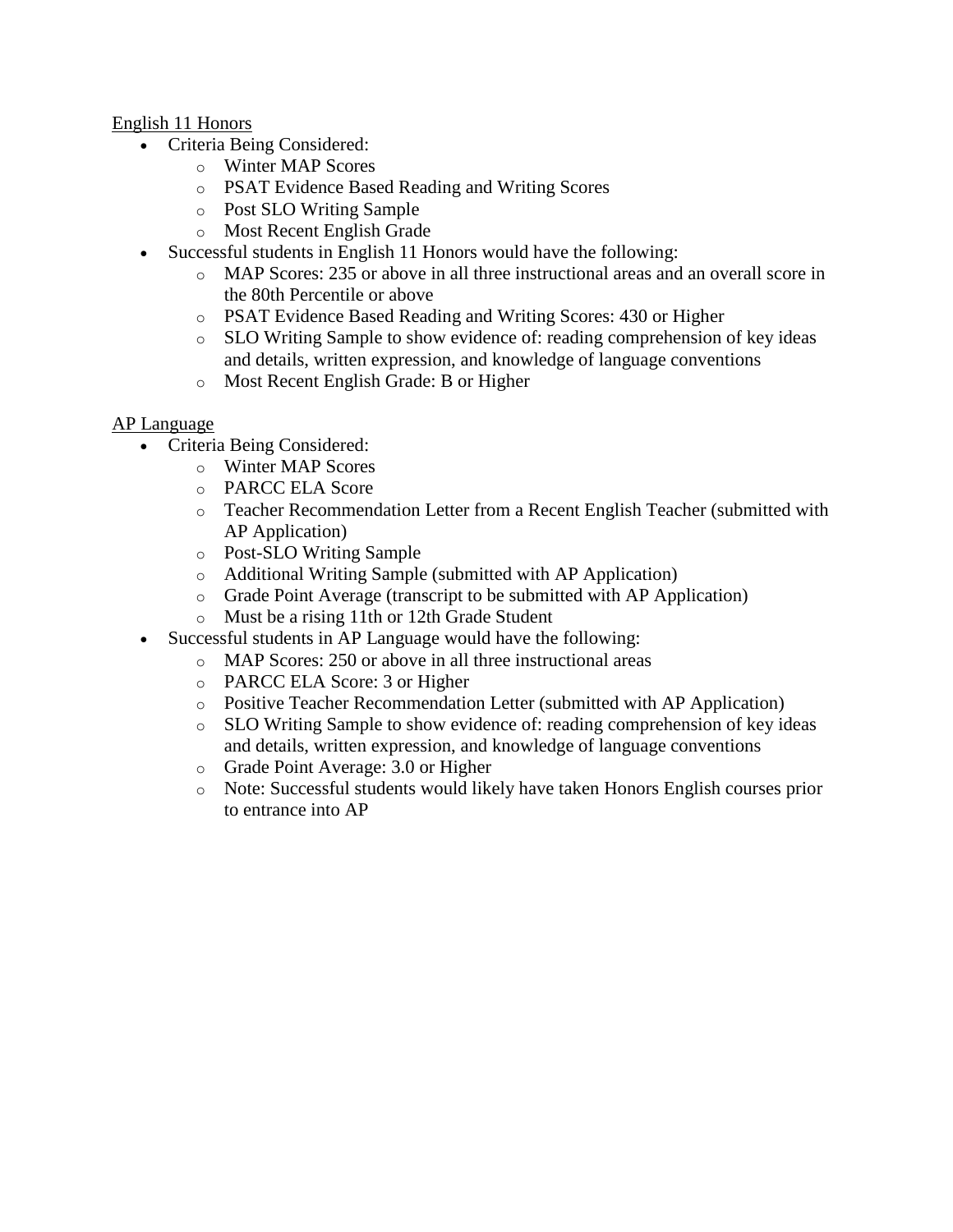#### English 11 Honors

- Criteria Being Considered:
	- o Winter MAP Scores
	- o PSAT Evidence Based Reading and Writing Scores
	- o Post SLO Writing Sample
	- o Most Recent English Grade
- Successful students in English 11 Honors would have the following:
	- o MAP Scores: 235 or above in all three instructional areas and an overall score in the 80th Percentile or above
	- o PSAT Evidence Based Reading and Writing Scores: 430 or Higher
	- o SLO Writing Sample to show evidence of: reading comprehension of key ideas and details, written expression, and knowledge of language conventions
	- o Most Recent English Grade: B or Higher

#### AP Language

- Criteria Being Considered:
	- o Winter MAP Scores
	- o PARCC ELA Score
	- o Teacher Recommendation Letter from a Recent English Teacher (submitted with AP Application)
	- o Post-SLO Writing Sample
	- o Additional Writing Sample (submitted with AP Application)
	- o Grade Point Average (transcript to be submitted with AP Application)
	- o Must be a rising 11th or 12th Grade Student
- Successful students in AP Language would have the following:
	- o MAP Scores: 250 or above in all three instructional areas
	- o PARCC ELA Score: 3 or Higher
	- o Positive Teacher Recommendation Letter (submitted with AP Application)
	- o SLO Writing Sample to show evidence of: reading comprehension of key ideas and details, written expression, and knowledge of language conventions
	- o Grade Point Average: 3.0 or Higher
	- o Note: Successful students would likely have taken Honors English courses prior to entrance into AP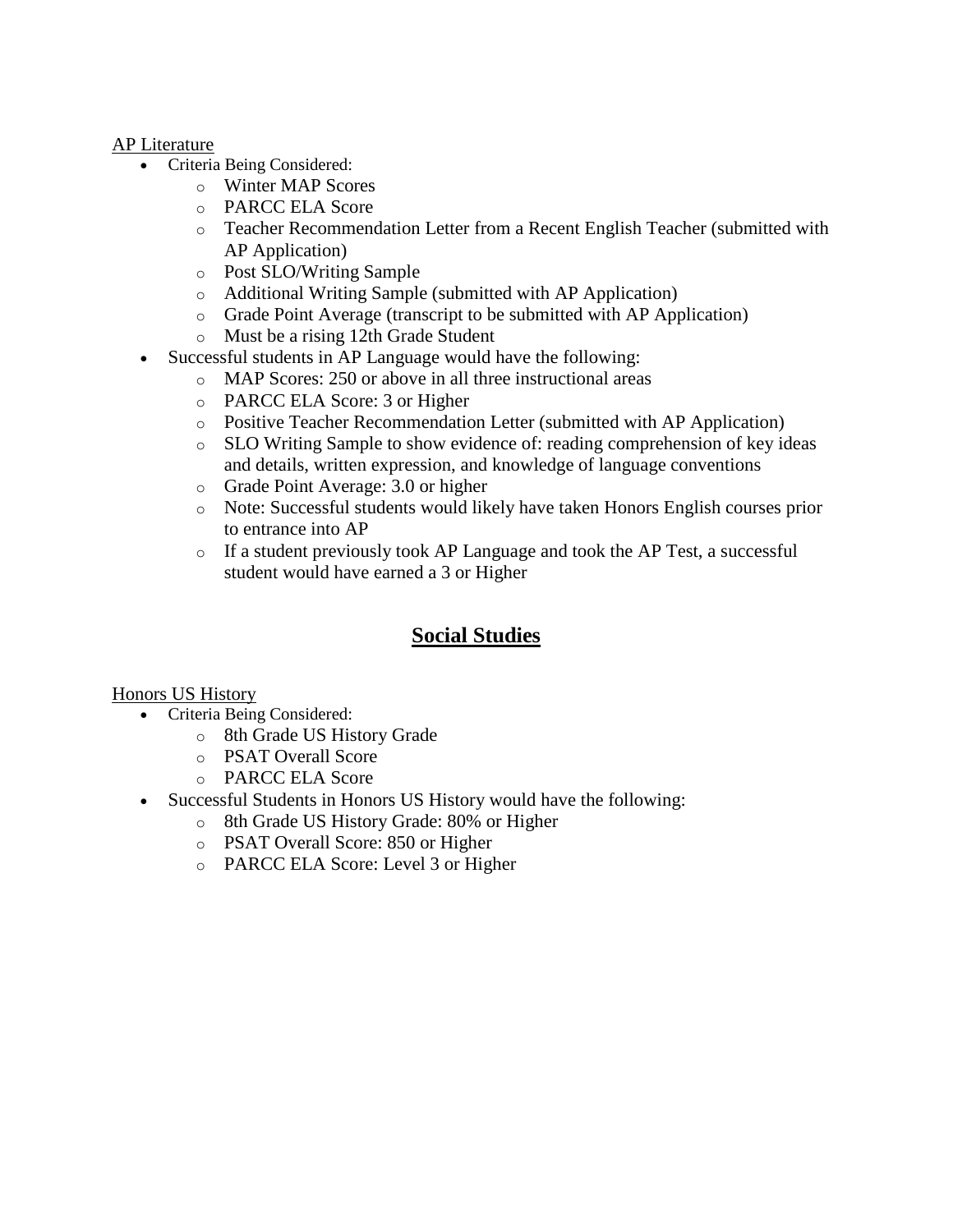#### AP Literature

- Criteria Being Considered:
	- o Winter MAP Scores
	- o PARCC ELA Score
	- o Teacher Recommendation Letter from a Recent English Teacher (submitted with AP Application)
	- o Post SLO/Writing Sample
	- o Additional Writing Sample (submitted with AP Application)
	- o Grade Point Average (transcript to be submitted with AP Application)
	- o Must be a rising 12th Grade Student
	- Successful students in AP Language would have the following:
		- o MAP Scores: 250 or above in all three instructional areas
		- o PARCC ELA Score: 3 or Higher
		- o Positive Teacher Recommendation Letter (submitted with AP Application)
		- o SLO Writing Sample to show evidence of: reading comprehension of key ideas and details, written expression, and knowledge of language conventions
		- o Grade Point Average: 3.0 or higher
		- o Note: Successful students would likely have taken Honors English courses prior to entrance into AP
		- o If a student previously took AP Language and took the AP Test, a successful student would have earned a 3 or Higher

# **Social Studies**

#### Honors US History

- Criteria Being Considered:
	- o 8th Grade US History Grade
	- o PSAT Overall Score
	- o PARCC ELA Score
- Successful Students in Honors US History would have the following:
	- o 8th Grade US History Grade: 80% or Higher
	- o PSAT Overall Score: 850 or Higher
	- o PARCC ELA Score: Level 3 or Higher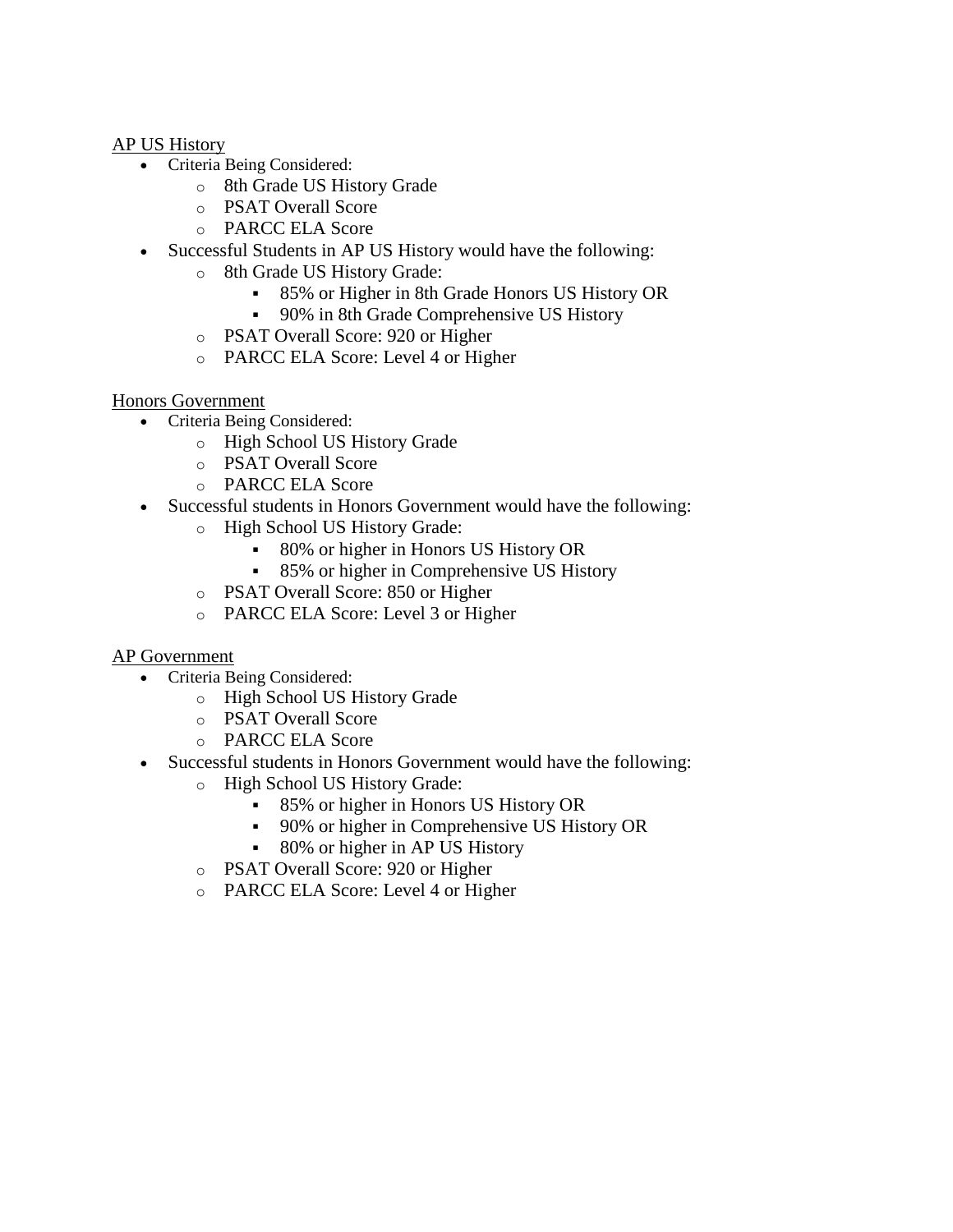#### AP US History

- Criteria Being Considered:
	- o 8th Grade US History Grade
	- o PSAT Overall Score
	- o PARCC ELA Score
- Successful Students in AP US History would have the following:
	- o 8th Grade US History Grade:
		- 85% or Higher in 8th Grade Honors US History OR
		- 90% in 8th Grade Comprehensive US History
		- o PSAT Overall Score: 920 or Higher
		- o PARCC ELA Score: Level 4 or Higher

#### Honors Government

- Criteria Being Considered:
	- o High School US History Grade
	- o PSAT Overall Score
	- o PARCC ELA Score
- Successful students in Honors Government would have the following:
	- o High School US History Grade:
		- 80% or higher in Honors US History OR
		- 85% or higher in Comprehensive US History
		- o PSAT Overall Score: 850 or Higher
		- o PARCC ELA Score: Level 3 or Higher

## AP Government

- Criteria Being Considered:
	- o High School US History Grade
	- o PSAT Overall Score
	- o PARCC ELA Score
- Successful students in Honors Government would have the following:
	- o High School US History Grade:
		- 85% or higher in Honors US History OR
		- 90% or higher in Comprehensive US History OR
		- 80% or higher in AP US History
	- o PSAT Overall Score: 920 or Higher
	- o PARCC ELA Score: Level 4 or Higher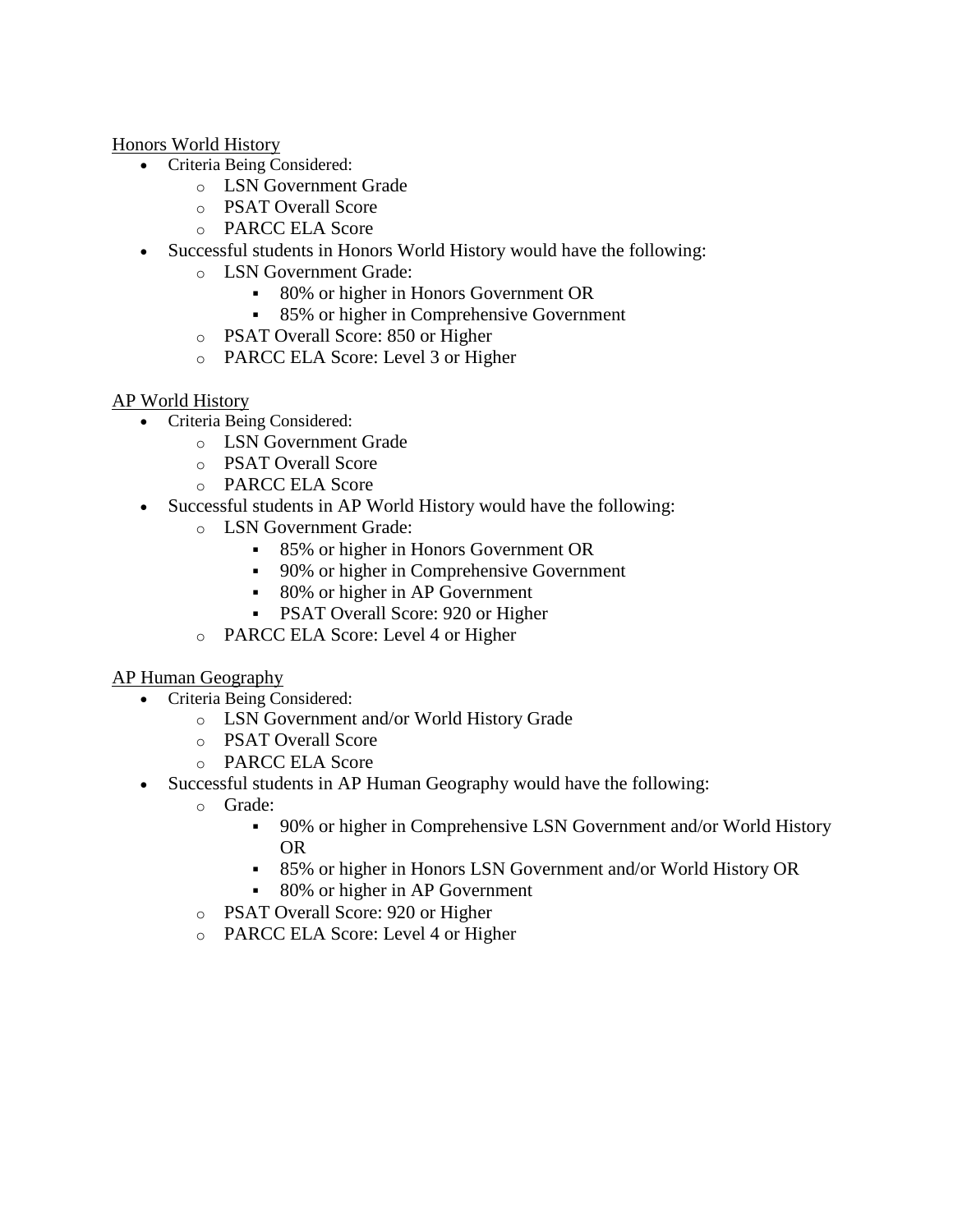Honors World History

- Criteria Being Considered:
	- o LSN Government Grade
	- o PSAT Overall Score
	- o PARCC ELA Score
- Successful students in Honors World History would have the following:
	- o LSN Government Grade:
		- 80% or higher in Honors Government OR
		- 85% or higher in Comprehensive Government
		- o PSAT Overall Score: 850 or Higher
		- o PARCC ELA Score: Level 3 or Higher

#### AP World History

- Criteria Being Considered:
	- o LSN Government Grade
	- o PSAT Overall Score
	- o PARCC ELA Score
- Successful students in AP World History would have the following:
	- o LSN Government Grade:
		- 85% or higher in Honors Government OR
		- 90% or higher in Comprehensive Government
		- 80% or higher in AP Government
		- **PSAT Overall Score: 920 or Higher**
	- o PARCC ELA Score: Level 4 or Higher

#### AP Human Geography

- Criteria Being Considered:
	- o LSN Government and/or World History Grade
	- o PSAT Overall Score
	- o PARCC ELA Score
- Successful students in AP Human Geography would have the following:
	- o Grade:
		- 90% or higher in Comprehensive LSN Government and/or World History OR
		- 85% or higher in Honors LSN Government and/or World History OR
		- 80% or higher in AP Government
	- o PSAT Overall Score: 920 or Higher
	- o PARCC ELA Score: Level 4 or Higher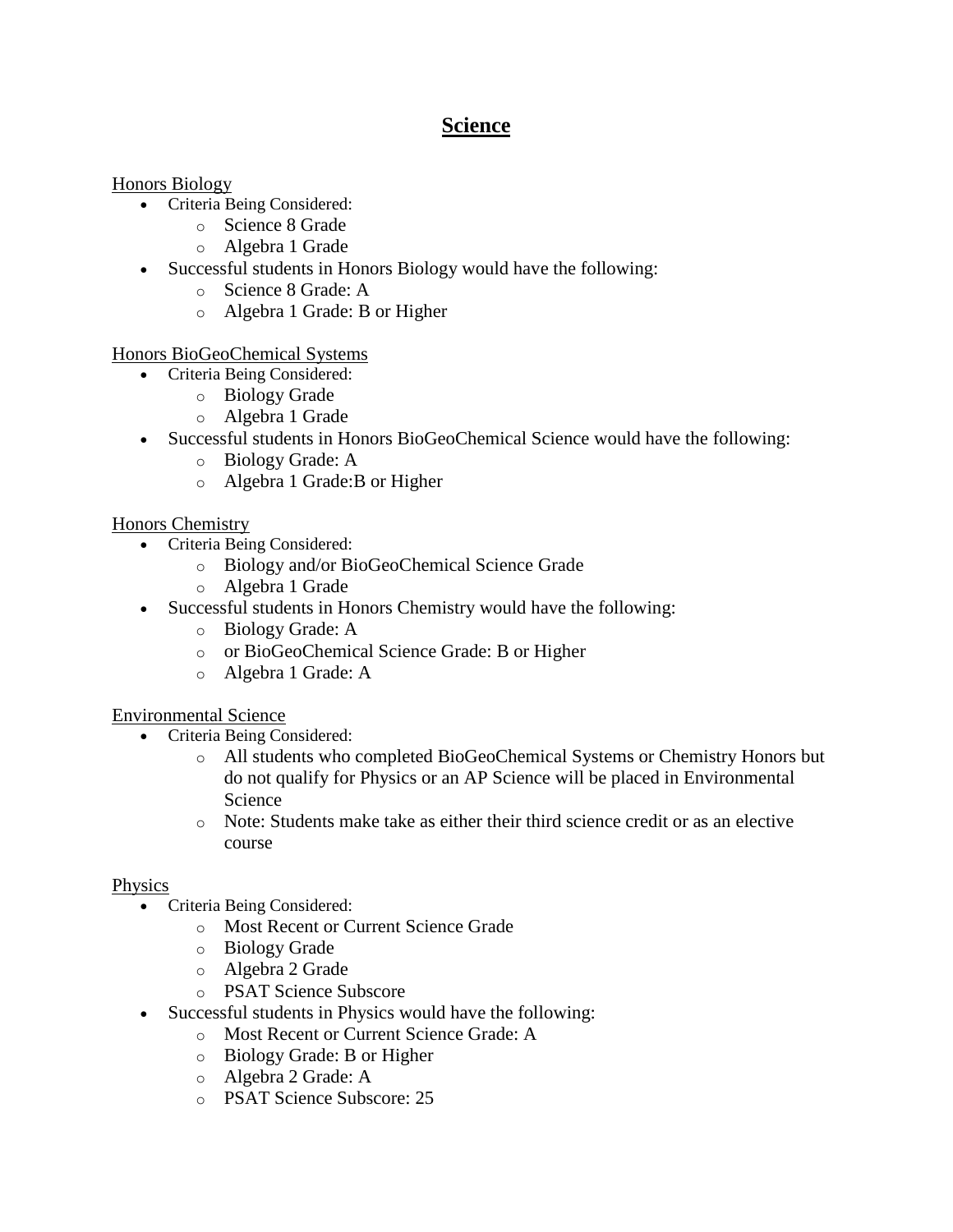# **Science**

#### Honors Biology

- Criteria Being Considered:
	- o Science 8 Grade
	- o Algebra 1 Grade
- Successful students in Honors Biology would have the following:
	- o Science 8 Grade: A
	- o Algebra 1 Grade: B or Higher

Honors BioGeoChemical Systems

- Criteria Being Considered:
	- o Biology Grade
	- o Algebra 1 Grade
- Successful students in Honors BioGeoChemical Science would have the following:
	- o Biology Grade: A
	- o Algebra 1 Grade:B or Higher

#### Honors Chemistry

- Criteria Being Considered:
	- o Biology and/or BioGeoChemical Science Grade
	- o Algebra 1 Grade
- Successful students in Honors Chemistry would have the following:
	- o Biology Grade: A
	- o or BioGeoChemical Science Grade: B or Higher
	- o Algebra 1 Grade: A

#### Environmental Science

- Criteria Being Considered:
	- o All students who completed BioGeoChemical Systems or Chemistry Honors but do not qualify for Physics or an AP Science will be placed in Environmental Science
	- o Note: Students make take as either their third science credit or as an elective course

#### Physics

- Criteria Being Considered:
	- o Most Recent or Current Science Grade
	- o Biology Grade
	- o Algebra 2 Grade
	- o PSAT Science Subscore
- Successful students in Physics would have the following:
	- o Most Recent or Current Science Grade: A
	- o Biology Grade: B or Higher
	- o Algebra 2 Grade: A
	- o PSAT Science Subscore: 25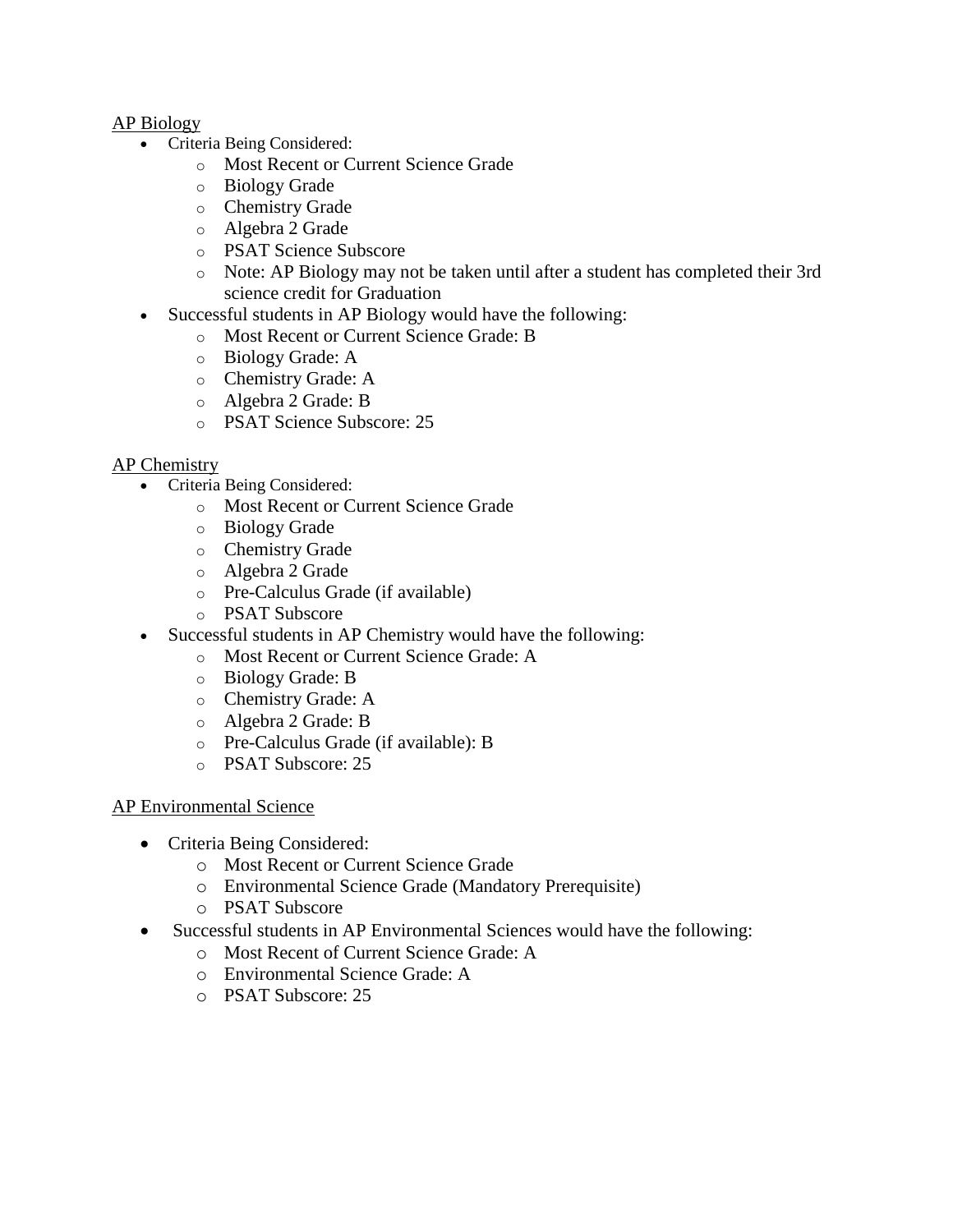#### AP Biology

- Criteria Being Considered:
	- o Most Recent or Current Science Grade
	- o Biology Grade
	- o Chemistry Grade
	- o Algebra 2 Grade
	- o PSAT Science Subscore
	- o Note: AP Biology may not be taken until after a student has completed their 3rd science credit for Graduation
- Successful students in AP Biology would have the following:
	- o Most Recent or Current Science Grade: B
	- o Biology Grade: A
	- o Chemistry Grade: A
	- o Algebra 2 Grade: B
	- o PSAT Science Subscore: 25

#### AP Chemistry

- Criteria Being Considered:
	- o Most Recent or Current Science Grade
	- o Biology Grade
	- o Chemistry Grade
	- o Algebra 2 Grade
	- o Pre-Calculus Grade (if available)
	- o PSAT Subscore
- Successful students in AP Chemistry would have the following:
	- o Most Recent or Current Science Grade: A
	- o Biology Grade: B
	- o Chemistry Grade: A
	- o Algebra 2 Grade: B
	- o Pre-Calculus Grade (if available): B
	- o PSAT Subscore: 25

#### AP Environmental Science

- Criteria Being Considered:
	- o Most Recent or Current Science Grade
	- o Environmental Science Grade (Mandatory Prerequisite)
	- o PSAT Subscore
- Successful students in AP Environmental Sciences would have the following:
	- o Most Recent of Current Science Grade: A
	- o Environmental Science Grade: A
	- o PSAT Subscore: 25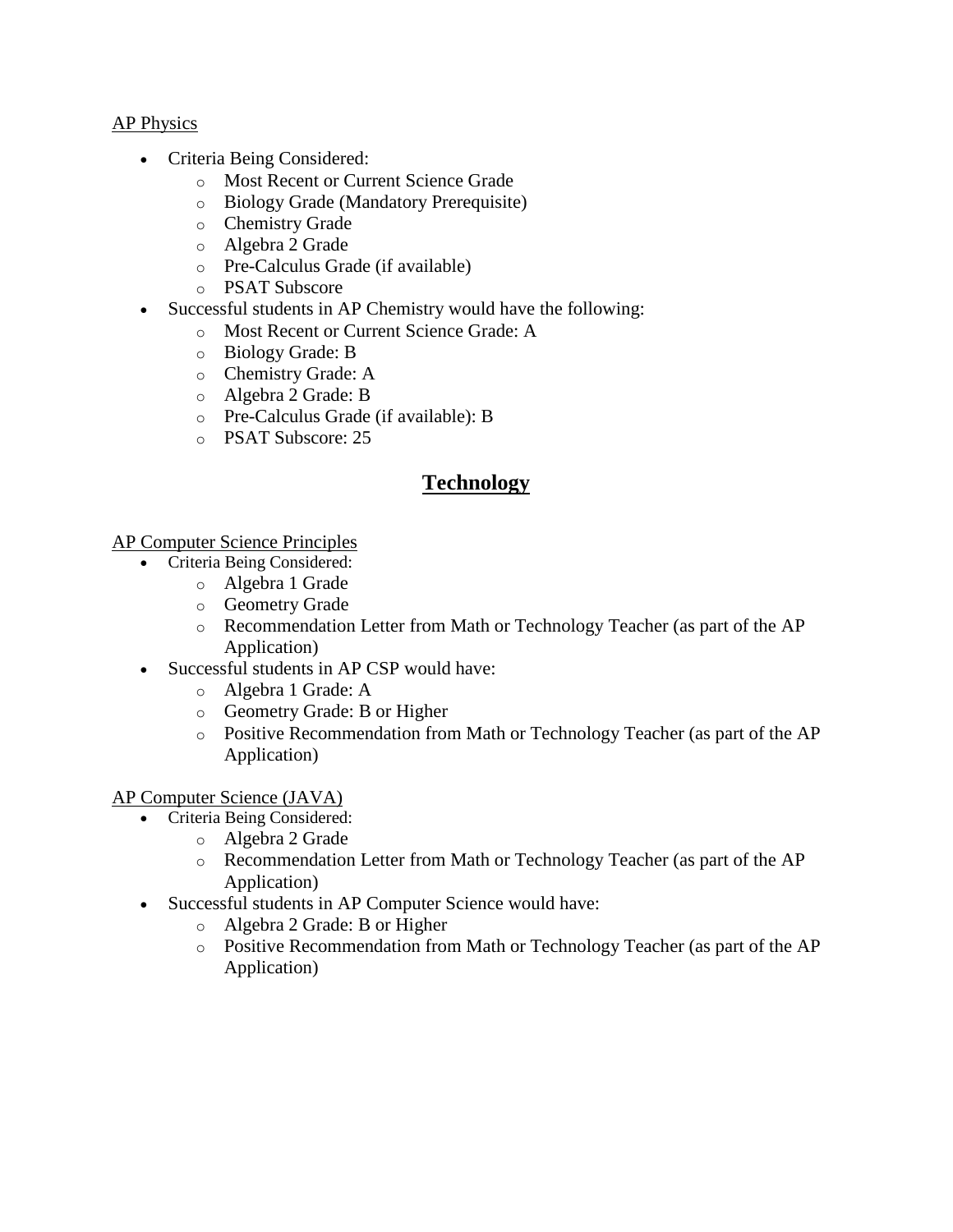#### AP Physics

- Criteria Being Considered:
	- o Most Recent or Current Science Grade
	- o Biology Grade (Mandatory Prerequisite)
	- o Chemistry Grade
	- o Algebra 2 Grade
	- o Pre-Calculus Grade (if available)
	- o PSAT Subscore
- Successful students in AP Chemistry would have the following:
	- o Most Recent or Current Science Grade: A
	- o Biology Grade: B
	- o Chemistry Grade: A
	- o Algebra 2 Grade: B
	- o Pre-Calculus Grade (if available): B
	- o PSAT Subscore: 25

# **Technology**

AP Computer Science Principles

- Criteria Being Considered:
	- o Algebra 1 Grade
	- o Geometry Grade
	- o Recommendation Letter from Math or Technology Teacher (as part of the AP Application)
- Successful students in AP CSP would have:
	- o Algebra 1 Grade: A
	- o Geometry Grade: B or Higher
	- o Positive Recommendation from Math or Technology Teacher (as part of the AP Application)

#### AP Computer Science (JAVA)

- Criteria Being Considered:
	- o Algebra 2 Grade
		- o Recommendation Letter from Math or Technology Teacher (as part of the AP Application)
- Successful students in AP Computer Science would have:
	- o Algebra 2 Grade: B or Higher
	- o Positive Recommendation from Math or Technology Teacher (as part of the AP Application)